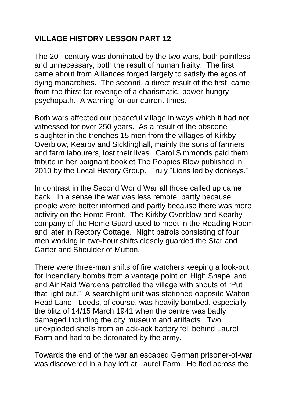## **VILLAGE HISTORY LESSON PART 12**

The  $20<sup>th</sup>$  century was dominated by the two wars, both pointless and unnecessary, both the result of human frailty. The first came about from Alliances forged largely to satisfy the egos of dying monarchies. The second, a direct result of the first, came from the thirst for revenge of a charismatic, power-hungry psychopath. A warning for our current times.

Both wars affected our peaceful village in ways which it had not witnessed for over 250 years. As a result of the obscene slaughter in the trenches 15 men from the villages of Kirkby Overblow, Kearby and Sicklinghall, mainly the sons of farmers and farm labourers, lost their lives. Carol Simmonds paid them tribute in her poignant booklet The Poppies Blow published in 2010 by the Local History Group. Truly "Lions led by donkeys."

In contrast in the Second World War all those called up came back. In a sense the war was less remote, partly because people were better informed and partly because there was more activity on the Home Front. The Kirkby Overblow and Kearby company of the Home Guard used to meet in the Reading Room and later in Rectory Cottage. Night patrols consisting of four men working in two-hour shifts closely guarded the Star and Garter and Shoulder of Mutton.

There were three-man shifts of fire watchers keeping a look-out for incendiary bombs from a vantage point on High Snape land and Air Raid Wardens patrolled the village with shouts of "Put that light out." A searchlight unit was stationed opposite Walton Head Lane. Leeds, of course, was heavily bombed, especially the blitz of 14/15 March 1941 when the centre was badly damaged including the city museum and artifacts. Two unexploded shells from an ack-ack battery fell behind Laurel Farm and had to be detonated by the army.

Towards the end of the war an escaped German prisoner-of-war was discovered in a hay loft at Laurel Farm. He fled across the